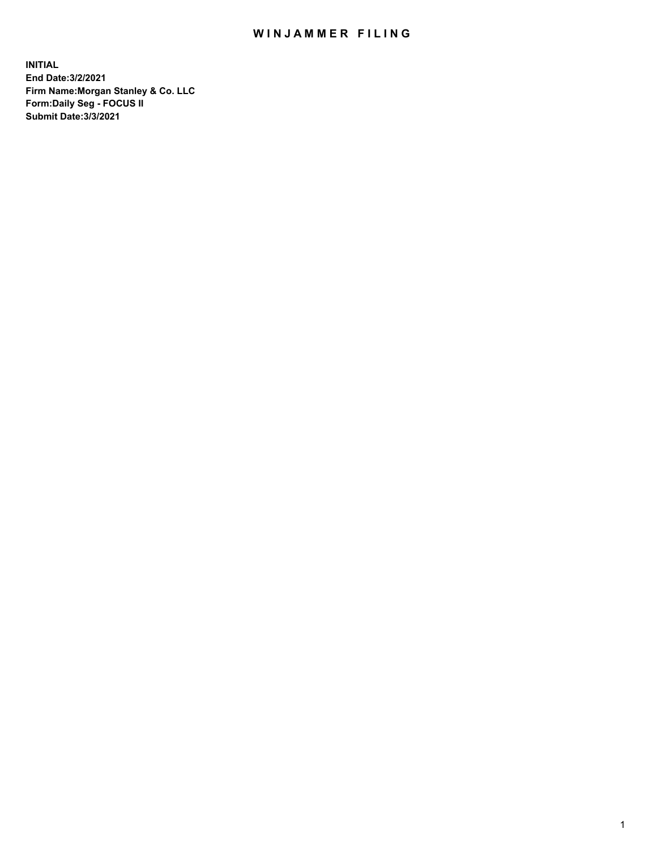## WIN JAMMER FILING

**INITIAL End Date:3/2/2021 Firm Name:Morgan Stanley & Co. LLC Form:Daily Seg - FOCUS II Submit Date:3/3/2021**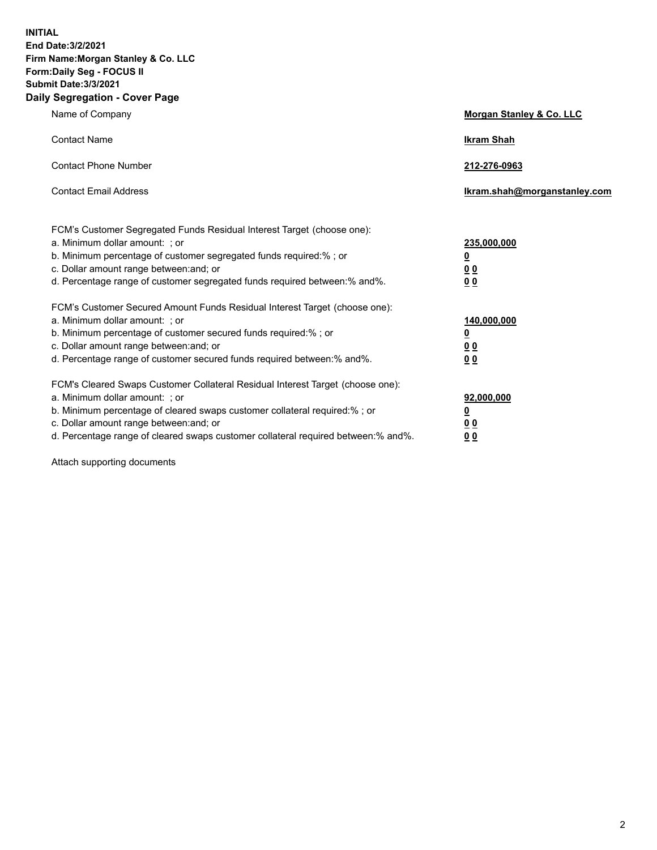**INITIAL End Date:3/2/2021 Firm Name:Morgan Stanley & Co. LLC Form:Daily Seg - FOCUS II Submit Date:3/3/2021 Daily Segregation - Cover Page**

| Name of Company                                                                                                                                                                                                                                                                                                                | <b>Morgan Stanley &amp; Co. LLC</b>                    |
|--------------------------------------------------------------------------------------------------------------------------------------------------------------------------------------------------------------------------------------------------------------------------------------------------------------------------------|--------------------------------------------------------|
| <b>Contact Name</b>                                                                                                                                                                                                                                                                                                            | <b>Ikram Shah</b>                                      |
| <b>Contact Phone Number</b>                                                                                                                                                                                                                                                                                                    | 212-276-0963                                           |
| <b>Contact Email Address</b>                                                                                                                                                                                                                                                                                                   | Ikram.shah@morganstanley.com                           |
| FCM's Customer Segregated Funds Residual Interest Target (choose one):<br>a. Minimum dollar amount: ; or<br>b. Minimum percentage of customer segregated funds required:%; or<br>c. Dollar amount range between: and; or<br>d. Percentage range of customer segregated funds required between:% and%.                          | 235,000,000<br><u>0</u><br><u>00</u><br>0 <sub>0</sub> |
| FCM's Customer Secured Amount Funds Residual Interest Target (choose one):<br>a. Minimum dollar amount: ; or<br>b. Minimum percentage of customer secured funds required:%; or<br>c. Dollar amount range between: and; or<br>d. Percentage range of customer secured funds required between:% and%.                            | 140,000,000<br><u>0</u><br><u>00</u><br>0 <sub>0</sub> |
| FCM's Cleared Swaps Customer Collateral Residual Interest Target (choose one):<br>a. Minimum dollar amount: ; or<br>b. Minimum percentage of cleared swaps customer collateral required:% ; or<br>c. Dollar amount range between: and; or<br>d. Percentage range of cleared swaps customer collateral required between:% and%. | 92,000,000<br><u>0</u><br>0 Q<br>0 <sub>0</sub>        |

Attach supporting documents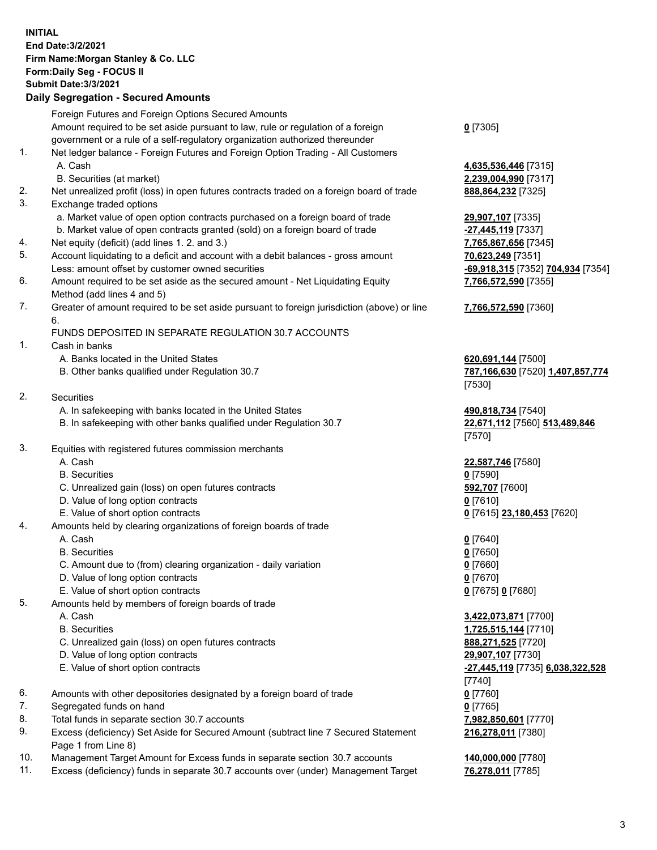## **INITIAL End Date:3/2/2021 Firm Name:Morgan Stanley & Co. LLC Form:Daily Seg - FOCUS II Submit Date:3/3/2021 Daily Segregation - Secured Amounts** Foreign Futures and Foreign Options Secured Amounts Amount required to be set aside pursuant to law, rule or regulation of a foreign government or a rule of a self-regulatory organization authorized thereunder 1. Net ledger balance - Foreign Futures and Foreign Option Trading - All Customers A. Cash **4,635,536,446** [7315] B. Securities (at market) **2,239,004,990** [7317] 2. Net unrealized profit (loss) in open futures contracts traded on a foreign board of trade **888,864,232** [7325] 3. Exchange traded options a. Market value of open option contracts purchased on a foreign board of trade **29,907,107** [7335] b. Market value of open contracts granted (sold) on a foreign board of trade **-27,445,119** [7337] 4. Net equity (deficit) (add lines 1. 2. and 3.) **7,765,867,656** [7345] 5. Account liquidating to a deficit and account with a debit balances - gross amount **70,623,249** [7351] Less: amount offset by customer owned securities **-69,918,315** [7352] **704,934** [7354] 6. Amount required to be set aside as the secured amount - Net Liquidating Equity Method (add lines 4 and 5) 7. Greater of amount required to be set aside pursuant to foreign jurisdiction (above) or line 6. FUNDS DEPOSITED IN SEPARATE REGULATION 30.7 ACCOUNTS 1. Cash in banks A. Banks located in the United States **620,691,144** [7500] B. Other banks qualified under Regulation 30.7 **787,166,630** [7520] **1,407,857,774** 2. Securities A. In safekeeping with banks located in the United States **490,818,734** [7540] B. In safekeeping with other banks qualified under Regulation 30.7 **22,671,112** [7560] **513,489,846** 3. Equities with registered futures commission merchants A. Cash **22,587,746** [7580] B. Securities **0** [7590] C. Unrealized gain (loss) on open futures contracts **592,707** [7600] D. Value of long option contracts **0** [7610]

- E. Value of short option contracts **0** [7615] **23,180,453** [7620]
- 4. Amounts held by clearing organizations of foreign boards of trade
	- A. Cash **0** [7640]
	- B. Securities **0** [7650]
	- C. Amount due to (from) clearing organization daily variation **0** [7660]
	- D. Value of long option contracts **0** [7670]
	- E. Value of short option contracts **0** [7675] **0** [7680]
- 5. Amounts held by members of foreign boards of trade
	-
	-
	- C. Unrealized gain (loss) on open futures contracts **888,271,525** [7720]
	- D. Value of long option contracts **29,907,107** [7730]
	- E. Value of short option contracts **-27,445,119** [7735] **6,038,322,528**
- 6. Amounts with other depositories designated by a foreign board of trade **0** [7760]
- 7. Segregated funds on hand **0** [7765]
- 8. Total funds in separate section 30.7 accounts **7,982,850,601** [7770]
- 9. Excess (deficiency) Set Aside for Secured Amount (subtract line 7 Secured Statement Page 1 from Line 8)
- 10. Management Target Amount for Excess funds in separate section 30.7 accounts **140,000,000** [7780]
- 11. Excess (deficiency) funds in separate 30.7 accounts over (under) Management Target **76,278,011** [7785]

**0** [7305]

**7,766,572,590** [7355]

## **7,766,572,590** [7360]

[7530]

[7570]

 A. Cash **3,422,073,871** [7700] B. Securities **1,725,515,144** [7710] [7740] **216,278,011** [7380]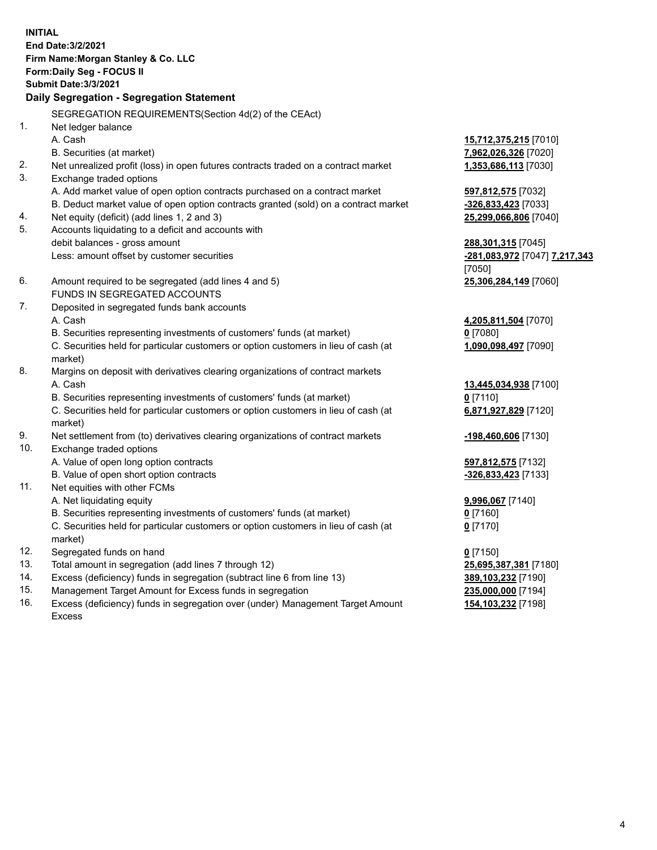**INITIAL End Date:3/2/2021 Firm Name:Morgan Stanley & Co. LLC Form:Daily Seg - FOCUS II Submit Date:3/3/2021 Daily Segregation - Segregation Statement** SEGREGATION REQUIREMENTS(Section 4d(2) of the CEAct) 1. Net ledger balance A. Cash **15,712,375,215** [7010] B. Securities (at market) **7,962,026,326** [7020] 2. Net unrealized profit (loss) in open futures contracts traded on a contract market **1,353,686,113** [7030] 3. Exchange traded options A. Add market value of open option contracts purchased on a contract market **597,812,575** [7032] B. Deduct market value of open option contracts granted (sold) on a contract market **-326,833,423** [7033] 4. Net equity (deficit) (add lines 1, 2 and 3) **25,299,066,806** [7040] 5. Accounts liquidating to a deficit and accounts with debit balances - gross amount **288,301,315** [7045] Less: amount offset by customer securities **-281,083,972** [7047] **7,217,343** [7050] 6. Amount required to be segregated (add lines 4 and 5) **25,306,284,149** [7060] FUNDS IN SEGREGATED ACCOUNTS 7. Deposited in segregated funds bank accounts A. Cash **4,205,811,504** [7070] B. Securities representing investments of customers' funds (at market) **0** [7080] C. Securities held for particular customers or option customers in lieu of cash (at market) **1,090,098,497** [7090] 8. Margins on deposit with derivatives clearing organizations of contract markets A. Cash **13,445,034,938** [7100] B. Securities representing investments of customers' funds (at market) **0** [7110] C. Securities held for particular customers or option customers in lieu of cash (at market) **6,871,927,829** [7120] 9. Net settlement from (to) derivatives clearing organizations of contract markets **-198,460,606** [7130] 10. Exchange traded options A. Value of open long option contracts **597,812,575** [7132] B. Value of open short option contracts **and the set of our of the set of our of the set of our of the set of the set of the set of the set of the set of the set of the set of the set of the set of the set of the set of th** 11. Net equities with other FCMs A. Net liquidating equity **9,996,067** [7140] B. Securities representing investments of customers' funds (at market) **0** [7160] C. Securities held for particular customers or option customers in lieu of cash (at market) **0** [7170] 12. Segregated funds on hand **0** [7150] 13. Total amount in segregation (add lines 7 through 12) **25,695,387,381** [7180] 14. Excess (deficiency) funds in segregation (subtract line 6 from line 13) **389,103,232** [7190] 15. Management Target Amount for Excess funds in segregation **235,000,000** [7194]

16. Excess (deficiency) funds in segregation over (under) Management Target Amount Excess

**154,103,232** [7198]